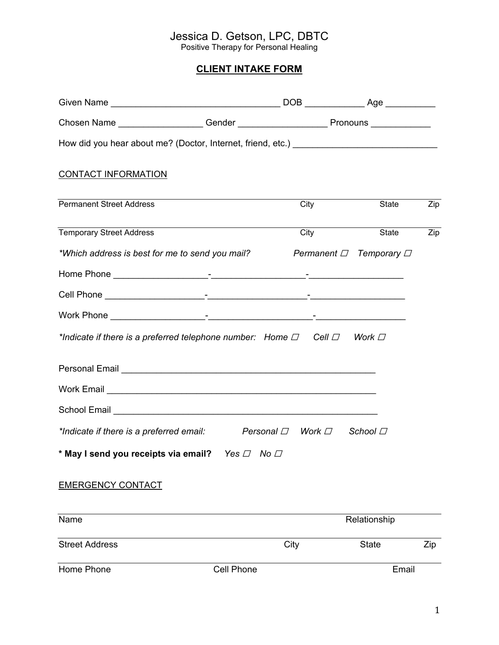## Jessica D. Getson, LPC, DBTC

Positive Therapy for Personal Healing

## **CLIENT INTAKE FORM**

| <b>CONTACT INFORMATION</b>                                                              |                   |                   |               |     |
|-----------------------------------------------------------------------------------------|-------------------|-------------------|---------------|-----|
| <b>Permanent Street Address</b>                                                         |                   | City              | State         | Zip |
| <b>Temporary Street Address</b>                                                         |                   | City              | State         | Zip |
| *Which address is best for me to send you mail? Permanent $\Box$ Temporary $\Box$       |                   |                   |               |     |
|                                                                                         |                   |                   |               |     |
|                                                                                         |                   |                   |               |     |
|                                                                                         |                   |                   |               |     |
| *Indicate if there is a preferred telephone number: Home $\Box$ Cell $\Box$ Work $\Box$ |                   |                   |               |     |
|                                                                                         |                   |                   |               |     |
|                                                                                         |                   |                   |               |     |
|                                                                                         |                   |                   |               |     |
| *Indicate if there is a preferred email:                                                |                   | Personal □ Work □ | School $\Box$ |     |
| * May I send you receipts via email? Yes $\Box$ No $\Box$                               |                   |                   |               |     |
| <b>EMERGENCY CONTACT</b>                                                                |                   |                   |               |     |
| Name                                                                                    |                   |                   | Relationship  |     |
| <b>Street Address</b>                                                                   |                   | City              | <b>State</b>  | Zip |
| Home Phone                                                                              | <b>Cell Phone</b> |                   | Email         |     |